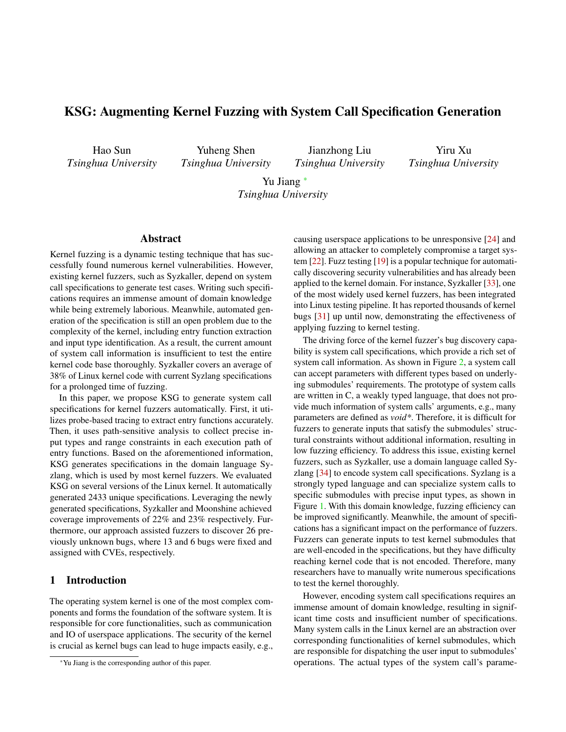# KSG: Augmenting Kernel Fuzzing with System Call Specification Generation

Hao Sun *Tsinghua University*

Yuheng Shen *Tsinghua University*

Jianzhong Liu *Tsinghua University*

Yiru Xu *Tsinghua University*

Yu Jiang <sup>∗</sup> *Tsinghua University*

#### Abstract

Kernel fuzzing is a dynamic testing technique that has successfully found numerous kernel vulnerabilities. However, existing kernel fuzzers, such as Syzkaller, depend on system call specifications to generate test cases. Writing such specifications requires an immense amount of domain knowledge while being extremely laborious. Meanwhile, automated generation of the specification is still an open problem due to the complexity of the kernel, including entry function extraction and input type identification. As a result, the current amount of system call information is insufficient to test the entire kernel code base thoroughly. Syzkaller covers an average of 38% of Linux kernel code with current Syzlang specifications for a prolonged time of fuzzing.

In this paper, we propose KSG to generate system call specifications for kernel fuzzers automatically. First, it utilizes probe-based tracing to extract entry functions accurately. Then, it uses path-sensitive analysis to collect precise input types and range constraints in each execution path of entry functions. Based on the aforementioned information, KSG generates specifications in the domain language Syzlang, which is used by most kernel fuzzers. We evaluated KSG on several versions of the Linux kernel. It automatically generated 2433 unique specifications. Leveraging the newly generated specifications, Syzkaller and Moonshine achieved coverage improvements of 22% and 23% respectively. Furthermore, our approach assisted fuzzers to discover 26 previously unknown bugs, where 13 and 6 bugs were fixed and assigned with CVEs, respectively.

#### <span id="page-0-0"></span>1 Introduction

The operating system kernel is one of the most complex components and forms the foundation of the software system. It is responsible for core functionalities, such as communication and IO of userspace applications. The security of the kernel is crucial as kernel bugs can lead to huge impacts easily, e.g.,

causing userspace applications to be unresponsive [\[24\]](#page-12-0) and allowing an attacker to completely compromise a target system [\[22\]](#page-12-1). Fuzz testing [\[19\]](#page-12-2) is a popular technique for automatically discovering security vulnerabilities and has already been applied to the kernel domain. For instance, Syzkaller [\[33\]](#page-13-0), one of the most widely used kernel fuzzers, has been integrated into Linux testing pipeline. It has reported thousands of kernel bugs [\[31\]](#page-13-1) up until now, demonstrating the effectiveness of applying fuzzing to kernel testing.

The driving force of the kernel fuzzer's bug discovery capability is system call specifications, which provide a rich set of system call information. As shown in Figure [2,](#page-3-0) a system call can accept parameters with different types based on underlying submodules' requirements. The prototype of system calls are written in C, a weakly typed language, that does not provide much information of system calls' arguments, e.g., many parameters are defined as *void\**. Therefore, it is difficult for fuzzers to generate inputs that satisfy the submodules' structural constraints without additional information, resulting in low fuzzing efficiency. To address this issue, existing kernel fuzzers, such as Syzkaller, use a domain language called Syzlang [\[34\]](#page-13-2) to encode system call specifications. Syzlang is a strongly typed language and can specialize system calls to specific submodules with precise input types, as shown in Figure [1.](#page-2-0) With this domain knowledge, fuzzing efficiency can be improved significantly. Meanwhile, the amount of specifications has a significant impact on the performance of fuzzers. Fuzzers can generate inputs to test kernel submodules that are well-encoded in the specifications, but they have difficulty reaching kernel code that is not encoded. Therefore, many researchers have to manually write numerous specifications to test the kernel thoroughly.

However, encoding system call specifications requires an immense amount of domain knowledge, resulting in significant time costs and insufficient number of specifications. Many system calls in the Linux kernel are an abstraction over corresponding functionalities of kernel submodules, which are responsible for dispatching the user input to submodules' operations. The actual types of the system call's parame-

<sup>∗</sup>Yu Jiang is the corresponding author of this paper.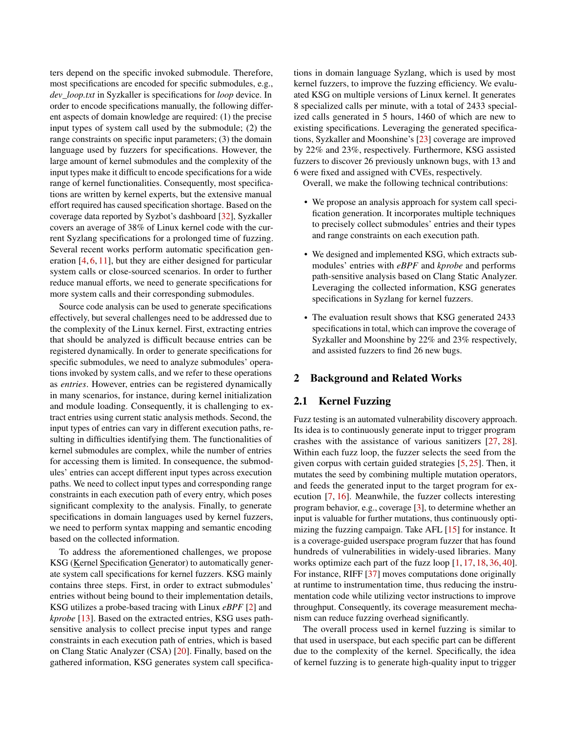ters depend on the specific invoked submodule. Therefore, most specifications are encoded for specific submodules, e.g., *dev\_loop.txt* in Syzkaller is specifications for *loop* device. In order to encode specifications manually, the following different aspects of domain knowledge are required: (1) the precise input types of system call used by the submodule; (2) the range constraints on specific input parameters; (3) the domain language used by fuzzers for specifications. However, the large amount of kernel submodules and the complexity of the input types make it difficult to encode specifications for a wide range of kernel functionalities. Consequently, most specifications are written by kernel experts, but the extensive manual effort required has caused specification shortage. Based on the coverage data reported by Syzbot's dashboard [\[32\]](#page-13-3), Syzkaller covers an average of 38% of Linux kernel code with the current Syzlang specifications for a prolonged time of fuzzing. Several recent works perform automatic specification generation [\[4,](#page-11-0) [6,](#page-12-3) [11\]](#page-12-4), but they are either designed for particular system calls or close-sourced scenarios. In order to further reduce manual efforts, we need to generate specifications for more system calls and their corresponding submodules.

Source code analysis can be used to generate specifications effectively, but several challenges need to be addressed due to the complexity of the Linux kernel. First, extracting entries that should be analyzed is difficult because entries can be registered dynamically. In order to generate specifications for specific submodules, we need to analyze submodules' operations invoked by system calls, and we refer to these operations as *entries*. However, entries can be registered dynamically in many scenarios, for instance, during kernel initialization and module loading. Consequently, it is challenging to extract entries using current static analysis methods. Second, the input types of entries can vary in different execution paths, resulting in difficulties identifying them. The functionalities of kernel submodules are complex, while the number of entries for accessing them is limited. In consequence, the submodules' entries can accept different input types across execution paths. We need to collect input types and corresponding range constraints in each execution path of every entry, which poses significant complexity to the analysis. Finally, to generate specifications in domain languages used by kernel fuzzers, we need to perform syntax mapping and semantic encoding based on the collected information.

To address the aforementioned challenges, we propose KSG (Kernel Specification Generator) to automatically generate system call specifications for kernel fuzzers. KSG mainly contains three steps. First, in order to extract submodules' entries without being bound to their implementation details, KSG utilizes a probe-based tracing with Linux *eBPF* [\[2\]](#page-11-1) and *kprobe* [\[13\]](#page-12-5). Based on the extracted entries, KSG uses pathsensitive analysis to collect precise input types and range constraints in each execution path of entries, which is based on Clang Static Analyzer (CSA) [\[20\]](#page-12-6). Finally, based on the gathered information, KSG generates system call specifica-

tions in domain language Syzlang, which is used by most kernel fuzzers, to improve the fuzzing efficiency. We evaluated KSG on multiple versions of Linux kernel. It generates 8 specialized calls per minute, with a total of 2433 specialized calls generated in 5 hours, 1460 of which are new to existing specifications. Leveraging the generated specifications, Syzkaller and Moonshine's [\[23\]](#page-12-7) coverage are improved by 22% and 23%, respectively. Furthermore, KSG assisted fuzzers to discover 26 previously unknown bugs, with 13 and 6 were fixed and assigned with CVEs, respectively.

Overall, we make the following technical contributions:

- We propose an analysis approach for system call specification generation. It incorporates multiple techniques to precisely collect submodules' entries and their types and range constraints on each execution path.
- We designed and implemented KSG, which extracts submodules' entries with *eBPF* and *kprobe* and performs path-sensitive analysis based on Clang Static Analyzer. Leveraging the collected information, KSG generates specifications in Syzlang for kernel fuzzers.
- The evaluation result shows that KSG generated 2433 specifications in total, which can improve the coverage of Syzkaller and Moonshine by 22% and 23% respectively, and assisted fuzzers to find 26 new bugs.

## 2 Background and Related Works

## 2.1 Kernel Fuzzing

Fuzz testing is an automated vulnerability discovery approach. Its idea is to continuously generate input to trigger program crashes with the assistance of various sanitizers [\[27,](#page-13-4) [28\]](#page-13-5). Within each fuzz loop, the fuzzer selects the seed from the given corpus with certain guided strategies [\[5,](#page-12-8) [25\]](#page-12-9). Then, it mutates the seed by combining multiple mutation operators, and feeds the generated input to the target program for execution [\[7,](#page-12-10) [16\]](#page-12-11). Meanwhile, the fuzzer collects interesting program behavior, e.g., coverage [\[3\]](#page-11-2), to determine whether an input is valuable for further mutations, thus continuously optimizing the fuzzing campaign. Take AFL [\[15\]](#page-12-12) for instance. It is a coverage-guided userspace program fuzzer that has found hundreds of vulnerabilities in widely-used libraries. Many works optimize each part of the fuzz loop [\[1,](#page-11-3) [17,](#page-12-13) [18,](#page-12-14) [36,](#page-13-6) [40\]](#page-13-7). For instance, RIFF [\[37\]](#page-13-8) moves computations done originally at runtime to instrumentation time, thus reducing the instrumentation code while utilizing vector instructions to improve throughput. Consequently, its coverage measurement mechanism can reduce fuzzing overhead significantly.

The overall process used in kernel fuzzing is similar to that used in userspace, but each specific part can be different due to the complexity of the kernel. Specifically, the idea of kernel fuzzing is to generate high-quality input to trigger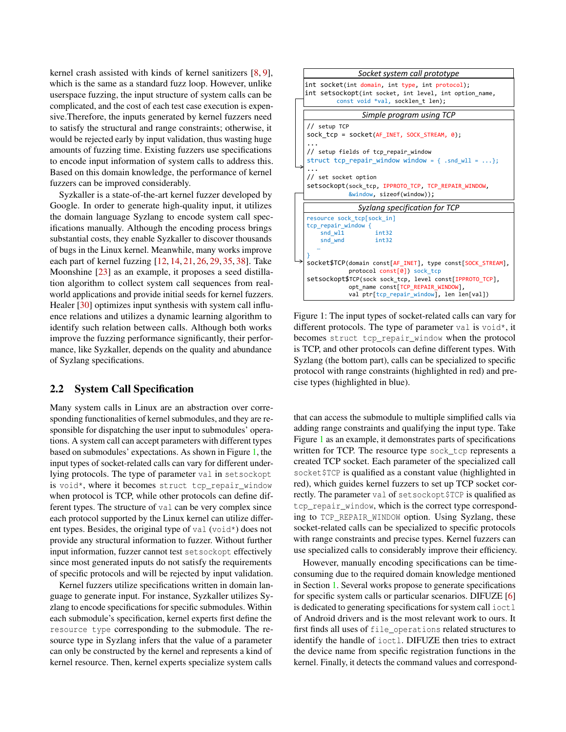kernel crash assisted with kinds of kernel sanitizers [\[8,](#page-12-15) [9\]](#page-12-16), which is the same as a standard fuzz loop. However, unlike userspace fuzzing, the input structure of system calls can be complicated, and the cost of each test case execution is expensive.Therefore, the inputs generated by kernel fuzzers need to satisfy the structural and range constraints; otherwise, it would be rejected early by input validation, thus wasting huge amounts of fuzzing time. Existing fuzzers use specifications to encode input information of system calls to address this. Based on this domain knowledge, the performance of kernel fuzzers can be improved considerably.

Syzkaller is a state-of-the-art kernel fuzzer developed by Google. In order to generate high-quality input, it utilizes the domain language Syzlang to encode system call specifications manually. Although the encoding process brings substantial costs, they enable Syzkaller to discover thousands of bugs in the Linux kernel. Meanwhile, many works improve each part of kernel fuzzing [\[12,](#page-12-17) [14,](#page-12-18) [21,](#page-12-19) [26,](#page-12-20) [29,](#page-13-9) [35,](#page-13-10) [38\]](#page-13-11). Take Moonshine [\[23\]](#page-12-7) as an example, it proposes a seed distillation algorithm to collect system call sequences from realworld applications and provide initial seeds for kernel fuzzers. Healer [\[30\]](#page-13-12) optimizes input synthesis with system call influence relations and utilizes a dynamic learning algorithm to identify such relation between calls. Although both works improve the fuzzing performance significantly, their performance, like Syzkaller, depends on the quality and abundance of Syzlang specifications.

#### 2.2 System Call Specification

Many system calls in Linux are an abstraction over corresponding functionalities of kernel submodules, and they are responsible for dispatching the user input to submodules' operations. A system call can accept parameters with different types based on submodules' expectations. As shown in Figure [1,](#page-2-0) the input types of socket-related calls can vary for different underlying protocols. The type of parameter val in setsockopt is void\*, where it becomes struct tcp\_repair\_window when protocol is TCP, while other protocols can define different types. The structure of val can be very complex since each protocol supported by the Linux kernel can utilize different types. Besides, the original type of val (void\*) does not provide any structural information to fuzzer. Without further input information, fuzzer cannot test setsockopt effectively since most generated inputs do not satisfy the requirements of specific protocols and will be rejected by input validation.

Kernel fuzzers utilize specifications written in domain language to generate input. For instance, Syzkaller utilizes Syzlang to encode specifications for specific submodules. Within each submodule's specification, kernel experts first define the resource type corresponding to the submodule. The resource type in Syzlang infers that the value of a parameter can only be constructed by the kernel and represents a kind of kernel resource. Then, kernel experts specialize system calls

<span id="page-2-0"></span>

Figure 1: The input types of socket-related calls can vary for different protocols. The type of parameter val is void\*, it becomes struct tcp\_repair\_window when the protocol is TCP, and other protocols can define different types. With Syzlang (the bottom part), calls can be specialized to specific protocol with range constraints (highlighted in red) and precise types (highlighted in blue).

that can access the submodule to multiple simplified calls via adding range constraints and qualifying the input type. Take Figure [1](#page-2-0) as an example, it demonstrates parts of specifications written for TCP. The resource type sock\_tcp represents a created TCP socket. Each parameter of the specialized call socket \$TCP is qualified as a constant value (highlighted in red), which guides kernel fuzzers to set up TCP socket correctly. The parameter val of setsockopt\$TCP is qualified as tcp\_repair\_window, which is the correct type corresponding to TCP\_REPAIR\_WINDOW option. Using Syzlang, these socket-related calls can be specialized to specific protocols with range constraints and precise types. Kernel fuzzers can use specialized calls to considerably improve their efficiency.

However, manually encoding specifications can be timeconsuming due to the required domain knowledge mentioned in Section [1.](#page-0-0) Several works propose to generate specifications for specific system calls or particular scenarios. DIFUZE [\[6\]](#page-12-3) is dedicated to generating specifications for system call  $i$  oct  $l$ of Android drivers and is the most relevant work to ours. It first finds all uses of file\_operations related structures to identify the handle of ioctl. DIFUZE then tries to extract the device name from specific registration functions in the kernel. Finally, it detects the command values and correspond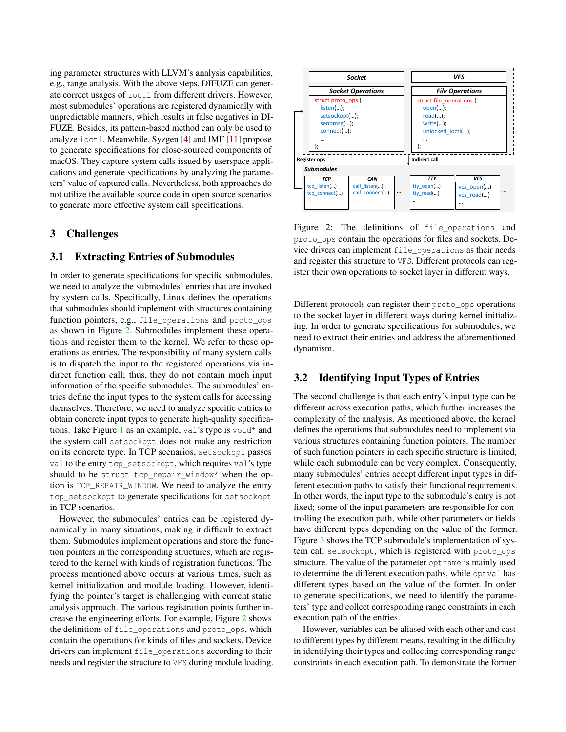ing parameter structures with LLVM's analysis capabilities, e.g., range analysis. With the above steps, DIFUZE can generate correct usages of ioctl from different drivers. However, most submodules' operations are registered dynamically with unpredictable manners, which results in false negatives in DI-FUZE. Besides, its pattern-based method can only be used to analyze ioctl. Meanwhile, Syzgen [\[4\]](#page-11-0) and IMF [\[11\]](#page-12-4) propose to generate specifications for close-sourced components of macOS. They capture system calls issued by userspace applications and generate specifications by analyzing the parameters' value of captured calls. Nevertheless, both approaches do not utilize the available source code in open source scenarios to generate more effective system call specifications.

#### 3 Challenges

#### 3.1 Extracting Entries of Submodules

In order to generate specifications for specific submodules, we need to analyze the submodules' entries that are invoked by system calls. Specifically, Linux defines the operations that submodules should implement with structures containing function pointers, e.g., file\_operations and proto\_ops as shown in Figure [2.](#page-3-0) Submodules implement these operations and register them to the kernel. We refer to these operations as entries. The responsibility of many system calls is to dispatch the input to the registered operations via indirect function call; thus, they do not contain much input information of the specific submodules. The submodules' entries define the input types to the system calls for accessing themselves. Therefore, we need to analyze specific entries to obtain concrete input types to generate high-quality specifications. Take Figure [1](#page-2-0) as an example, val's type is void\* and the system call setsockopt does not make any restriction on its concrete type. In TCP scenarios, setsockopt passes val to the entry tcp\_setsockopt, which requires val's type should to be struct tcp\_repair\_window\* when the option is TCP\_REPAIR\_WINDOW. We need to analyze the entry tcp\_setsockopt to generate specifications for setsockopt in TCP scenarios.

However, the submodules' entries can be registered dynamically in many situations, making it difficult to extract them. Submodules implement operations and store the function pointers in the corresponding structures, which are registered to the kernel with kinds of registration functions. The process mentioned above occurs at various times, such as kernel initialization and module loading. However, identifying the pointer's target is challenging with current static analysis approach. The various registration points further increase the engineering efforts. For example, Figure [2](#page-3-0) shows the definitions of file operations and proto ops, which contain the operations for kinds of files and sockets. Device drivers can implement file\_operations according to their needs and register the structure to VFS during module loading.

<span id="page-3-0"></span>

Figure 2: The definitions of file\_operations and proto\_ops contain the operations for files and sockets. Device drivers can implement file\_operations as their needs and register this structure to VFS. Different protocols can register their own operations to socket layer in different ways.

Different protocols can register their proto\_ops operations to the socket layer in different ways during kernel initializing. In order to generate specifications for submodules, we need to extract their entries and address the aforementioned dynamism.

### 3.2 Identifying Input Types of Entries

The second challenge is that each entry's input type can be different across execution paths, which further increases the complexity of the analysis. As mentioned above, the kernel defines the operations that submodules need to implement via various structures containing function pointers. The number of such function pointers in each specific structure is limited, while each submodule can be very complex. Consequently, many submodules' entries accept different input types in different execution paths to satisfy their functional requirements. In other words, the input type to the submodule's entry is not fixed; some of the input parameters are responsible for controlling the execution path, while other parameters or fields have different types depending on the value of the former. Figure [3](#page-4-0) shows the TCP submodule's implementation of system call setsockopt, which is registered with proto\_ops structure. The value of the parameter optname is mainly used to determine the different execution paths, while optval has different types based on the value of the former. In order to generate specifications, we need to identify the parameters' type and collect corresponding range constraints in each execution path of the entries.

However, variables can be aliased with each other and cast to different types by different means, resulting in the difficulty in identifying their types and collecting corresponding range constraints in each execution path. To demonstrate the former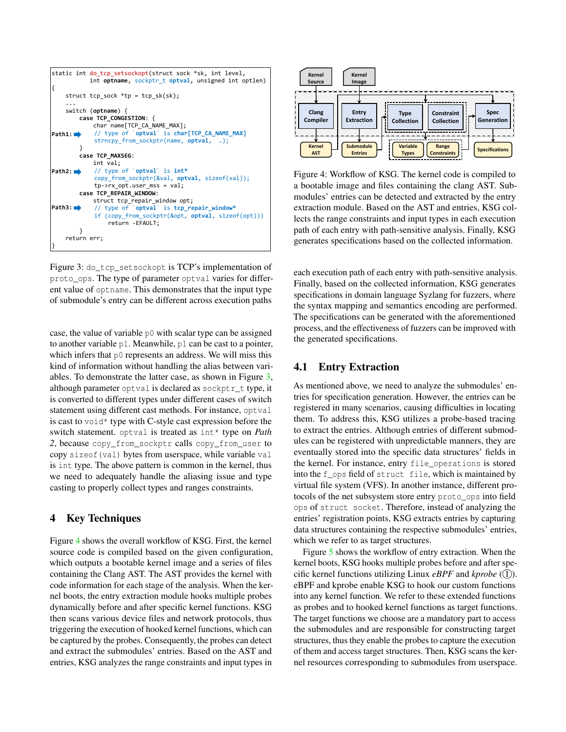<span id="page-4-0"></span>

| static int do tcp setsockopt(struct sock *sk, int level,<br>int optname, sockptr t optval, unsigned int optlen)<br>ſ |  |  |  |
|----------------------------------------------------------------------------------------------------------------------|--|--|--|
| struct tcp sock $*tp = tp$ sk(sk);                                                                                   |  |  |  |
| switch (optname) {                                                                                                   |  |  |  |
| case TCP CONGESTION: {                                                                                               |  |  |  |
| char name[TCP CA NAME MAX];                                                                                          |  |  |  |
| // type of `optval` is char[TCP CA NAME MAX]<br>Path1:                                                               |  |  |  |
| strncpy from sockptr(name, optval, );                                                                                |  |  |  |
|                                                                                                                      |  |  |  |
| case TCP MAXSEG:                                                                                                     |  |  |  |
| int val;                                                                                                             |  |  |  |
| <b>Path2:</b> $\rightarrow$ // type of `optval` is int*                                                              |  |  |  |
| copy from sockptr(&val, optval, sizeof(val));                                                                        |  |  |  |
| $tp\text{-}$ >rx opt.user mss = val;                                                                                 |  |  |  |
| case TCP REPAIR WINDOW:                                                                                              |  |  |  |
| struct tcp repair window opt;                                                                                        |  |  |  |
| Path3:<br>// type of `optval` is tcp repair window*                                                                  |  |  |  |
| if (copy from sockptr(&opt, optval, sizeof(opt)))                                                                    |  |  |  |
| return -EFAULT;                                                                                                      |  |  |  |
|                                                                                                                      |  |  |  |
| return err;                                                                                                          |  |  |  |
|                                                                                                                      |  |  |  |

Figure 3: do\_tcp\_setsockopt is TCP's implementation of proto\_ops. The type of parameter optval varies for different value of optname. This demonstrates that the input type of submodule's entry can be different across execution paths

case, the value of variable p0 with scalar type can be assigned to another variable p1. Meanwhile, p1 can be cast to a pointer, which infers that p0 represents an address. We will miss this kind of information without handling the alias between variables. To demonstrate the latter case, as shown in Figure [3,](#page-4-0) although parameter optval is declared as sockptr\_t type, it is converted to different types under different cases of switch statement using different cast methods. For instance, optval is cast to void\* type with C-style cast expression before the switch statement. optval is treated as int\* type on *Path* 2, because copy from sockptr calls copy from user to copy sizeof(val) bytes from userspace, while variable val is int type. The above pattern is common in the kernel, thus we need to adequately handle the aliasing issue and type casting to properly collect types and ranges constraints.

## 4 Key Techniques

Figure [4](#page-4-1) shows the overall workflow of KSG. First, the kernel source code is compiled based on the given configuration, which outputs a bootable kernel image and a series of files containing the Clang AST. The AST provides the kernel with code information for each stage of the analysis. When the kernel boots, the entry extraction module hooks multiple probes dynamically before and after specific kernel functions. KSG then scans various device files and network protocols, thus triggering the execution of hooked kernel functions, which can be captured by the probes. Consequently, the probes can detect and extract the submodules' entries. Based on the AST and entries, KSG analyzes the range constraints and input types in

<span id="page-4-1"></span>

Figure 4: Workflow of KSG. The kernel code is compiled to a bootable image and files containing the clang AST. Submodules' entries can be detected and extracted by the entry extraction module. Based on the AST and entries, KSG collects the range constraints and input types in each execution path of each entry with path-sensitive analysis. Finally, KSG generates specifications based on the collected information.

each execution path of each entry with path-sensitive analysis. Finally, based on the collected information, KSG generates specifications in domain language Syzlang for fuzzers, where the syntax mapping and semantics encoding are performed. The specifications can be generated with the aforementioned process, and the effectiveness of fuzzers can be improved with the generated specifications.

### <span id="page-4-2"></span>4.1 Entry Extraction

As mentioned above, we need to analyze the submodules' entries for specification generation. However, the entries can be registered in many scenarios, causing difficulties in locating them. To address this, KSG utilizes a probe-based tracing to extract the entries. Although entries of different submodules can be registered with unpredictable manners, they are eventually stored into the specific data structures' fields in the kernel. For instance, entry file\_operations is stored into the f\_ops field of struct file, which is maintained by virtual file system (VFS). In another instance, different protocols of the net subsystem store entry proto\_ops into field ops of struct socket. Therefore, instead of analyzing the entries' registration points, KSG extracts entries by capturing data structures containing the respective submodules' entries, which we refer to as target structures.

Figure [5](#page-5-0) shows the workflow of entry extraction. When the kernel boots, KSG hooks multiple probes before and after specific kernel functions utilizing Linux  $eBPF$  and  $kprobe$  (1). eBPF and kprobe enable KSG to hook our custom functions into any kernel function. We refer to these extended functions as probes and to hooked kernel functions as target functions. The target functions we choose are a mandatory part to access the submodules and are responsible for constructing target structures, thus they enable the probes to capture the execution of them and access target structures. Then, KSG scans the kernel resources corresponding to submodules from userspace.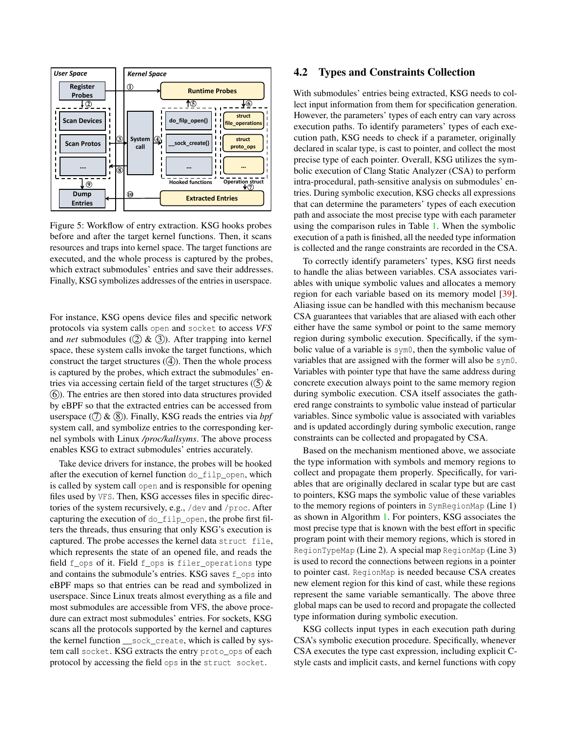<span id="page-5-0"></span>

Figure 5: Workflow of entry extraction. KSG hooks probes before and after the target kernel functions. Then, it scans resources and traps into kernel space. The target functions are executed, and the whole process is captured by the probes, which extract submodules' entries and save their addresses. Finally, KSG symbolizes addresses of the entries in userspace.

For instance, KSG opens device files and specific network protocols via system calls open and socket to access *VFS* and *net* submodules  $(2)$  &  $(3)$ . After trapping into kernel space, these system calls invoke the target functions, which construct the target structures  $(4)$ . Then the whole process is captured by the probes, which extract the submodules' entries via accessing certain field of the target structures  $(5)$  & 6 ). The entries are then stored into data structures provided by eBPF so that the extracted entries can be accessed from userspace  $(7)$  &  $(8)$ ). Finally, KSG reads the entries via *bpf* system call, and symbolize entries to the corresponding kernel symbols with Linux */proc/kallsyms*. The above process enables KSG to extract submodules' entries accurately.

Take device drivers for instance, the probes will be hooked after the execution of kernel function do\_filp\_open, which is called by system call open and is responsible for opening files used by VFS. Then, KSG accesses files in specific directories of the system recursively, e.g., /dev and /proc. After capturing the execution of do\_filp\_open, the probe first filters the threads, thus ensuring that only KSG's execution is captured. The probe accesses the kernel data struct file, which represents the state of an opened file, and reads the field f\_ops of it. Field f\_ops is filer\_operations type and contains the submodule's entries. KSG saves f\_ops into eBPF maps so that entries can be read and symbolized in userspace. Since Linux treats almost everything as a file and most submodules are accessible from VFS, the above procedure can extract most submodules' entries. For sockets, KSG scans all the protocols supported by the kernel and captures the kernel function \_\_sock\_create, which is called by system call socket. KSG extracts the entry proto\_ops of each protocol by accessing the field ops in the struct socket.

#### 4.2 Types and Constraints Collection

With submodules' entries being extracted, KSG needs to collect input information from them for specification generation. However, the parameters' types of each entry can vary across execution paths. To identify parameters' types of each execution path, KSG needs to check if a parameter, originally declared in scalar type, is cast to pointer, and collect the most precise type of each pointer. Overall, KSG utilizes the symbolic execution of Clang Static Analyzer (CSA) to perform intra-procedural, path-sensitive analysis on submodules' entries. During symbolic execution, KSG checks all expressions that can determine the parameters' types of each execution path and associate the most precise type with each parameter using the comparison rules in Table [1.](#page-6-0) When the symbolic execution of a path is finished, all the needed type information is collected and the range constraints are recorded in the CSA.

To correctly identify parameters' types, KSG first needs to handle the alias between variables. CSA associates variables with unique symbolic values and allocates a memory region for each variable based on its memory model [\[39\]](#page-13-13). Aliasing issue can be handled with this mechanism because CSA guarantees that variables that are aliased with each other either have the same symbol or point to the same memory region during symbolic execution. Specifically, if the symbolic value of a variable is sym0, then the symbolic value of variables that are assigned with the former will also be sym0. Variables with pointer type that have the same address during concrete execution always point to the same memory region during symbolic execution. CSA itself associates the gathered range constraints to symbolic value instead of particular variables. Since symbolic value is associated with variables and is updated accordingly during symbolic execution, range constraints can be collected and propagated by CSA.

Based on the mechanism mentioned above, we associate the type information with symbols and memory regions to collect and propagate them properly. Specifically, for variables that are originally declared in scalar type but are cast to pointers, KSG maps the symbolic value of these variables to the memory regions of pointers in SymRegionMap (Line 1) as shown in Algorithm [1.](#page-6-1) For pointers, KSG associates the most precise type that is known with the best effort in specific program point with their memory regions, which is stored in RegionTypeMap (Line 2). A special map RegionMap (Line 3) is used to record the connections between regions in a pointer to pointer cast. RegionMap is needed because CSA creates new element region for this kind of cast, while these regions represent the same variable semantically. The above three global maps can be used to record and propagate the collected type information during symbolic execution.

KSG collects input types in each execution path during CSA's symbolic execution procedure. Specifically, whenever CSA executes the type cast expression, including explicit Cstyle casts and implicit casts, and kernel functions with copy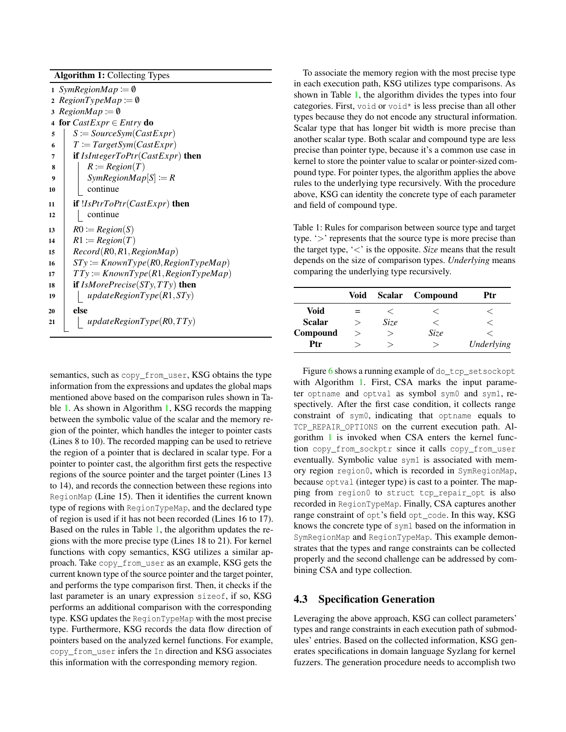| <b>Algorithm 1: Collecting Types</b> |                                             |  |  |
|--------------------------------------|---------------------------------------------|--|--|
| 1 SymRegionMap $:= \emptyset$        |                                             |  |  |
|                                      | 2 $RegionTypeMap := \emptyset$              |  |  |
|                                      | 3 RegionMap := $\emptyset$                  |  |  |
| 4                                    | for $CastExpr \in Entry$ do                 |  |  |
| 5                                    | $S \coloneqq SourceSym(CastExpr)$           |  |  |
| 6                                    | $T := TargetSym(CastExpr)$                  |  |  |
| 7                                    | if $IsIntegerToPtr(CastExpr)$ then          |  |  |
| 8                                    | $R \coloneqq Region(T)$                     |  |  |
| 9                                    | $SymRegionMap[S] := R$                      |  |  |
| 10                                   | continue                                    |  |  |
| 11                                   | if $!IsPtrToPtr(CastExpr)$ then             |  |  |
| 12                                   | continue                                    |  |  |
| 13                                   | $R0 := Region(S)$                           |  |  |
| 14                                   | $R1 := Region(T)$                           |  |  |
| 15                                   | Record(R0, R1, RegionMap)                   |  |  |
| 16                                   | $STy := KnownType(R0, RegionTypeMap)$       |  |  |
| 17                                   | $TTy \coloneqq$ KnownType(R1,RegionTypeMap) |  |  |
| 18                                   | if $IsMorePrecise(STy, TTy)$ then           |  |  |
| 19                                   | updateRegionType(R1, STy)                   |  |  |
| 20                                   | else                                        |  |  |
| 21                                   | updateRegionType(R0,TTy)                    |  |  |
|                                      |                                             |  |  |

<span id="page-6-1"></span>semantics, such as copy\_from\_user, KSG obtains the type information from the expressions and updates the global maps mentioned above based on the comparison rules shown in Table [1.](#page-6-0) As shown in Algorithm [1,](#page-6-1) KSG records the mapping between the symbolic value of the scalar and the memory region of the pointer, which handles the integer to pointer casts (Lines 8 to 10). The recorded mapping can be used to retrieve the region of a pointer that is declared in scalar type. For a pointer to pointer cast, the algorithm first gets the respective regions of the source pointer and the target pointer (Lines 13 to 14), and records the connection between these regions into RegionMap (Line 15). Then it identifies the current known type of regions with RegionTypeMap, and the declared type of region is used if it has not been recorded (Lines 16 to 17). Based on the rules in Table [1,](#page-6-0) the algorithm updates the regions with the more precise type (Lines 18 to 21). For kernel functions with copy semantics, KSG utilizes a similar approach. Take copy\_from\_user as an example, KSG gets the current known type of the source pointer and the target pointer, and performs the type comparison first. Then, it checks if the last parameter is an unary expression sizeof, if so, KSG performs an additional comparison with the corresponding type. KSG updates the RegionTypeMap with the most precise type. Furthermore, KSG records the data flow direction of pointers based on the analyzed kernel functions. For example, copy\_from\_user infers the In direction and KSG associates this information with the corresponding memory region.

To associate the memory region with the most precise type in each execution path, KSG utilizes type comparisons. As shown in Table [1,](#page-6-0) the algorithm divides the types into four categories. First, void or void\* is less precise than all other types because they do not encode any structural information. Scalar type that has longer bit width is more precise than another scalar type. Both scalar and compound type are less precise than pointer type, because it's a common use case in kernel to store the pointer value to scalar or pointer-sized compound type. For pointer types, the algorithm applies the above rules to the underlying type recursively. With the procedure above, KSG can identity the concrete type of each parameter and field of compound type.

<span id="page-6-0"></span>Table 1: Rules for comparison between source type and target type. '>' represents that the source type is more precise than the target type, '<' is the opposite. *Size* means that the result depends on the size of comparison types. *Underlying* means comparing the underlying type recursively.

|               | Void | <b>Scalar</b> | Compound | Ptr        |
|---------------|------|---------------|----------|------------|
| <b>Void</b>   | $=$  |               |          |            |
| <b>Scalar</b> | ゝ    | Size          |          |            |
| Compound      | >    |               | Size     |            |
| Ptr           |      | ↘             | ↘        | Underlying |

Figure [6](#page-7-0) shows a running example of do\_tcp\_setsockopt with Algorithm [1.](#page-6-1) First, CSA marks the input parameter optname and optval as symbol sym0 and sym1, respectively. After the first case condition, it collects range constraint of sym0, indicating that optname equals to TCP\_REPAIR\_OPTIONS on the current execution path. Algorithm [1](#page-6-1) is invoked when CSA enters the kernel function copy\_from\_sockptr since it calls copy\_from\_user eventually. Symbolic value sym1 is associated with memory region region0, which is recorded in SymRegionMap, because optval (integer type) is cast to a pointer. The mapping from region0 to struct tcp\_repair\_opt is also recorded in RegionTypeMap. Finally, CSA captures another range constraint of opt's field opt code. In this way, KSG knows the concrete type of sym1 based on the information in SymRegionMap and RegionTypeMap. This example demonstrates that the types and range constraints can be collected properly and the second challenge can be addressed by combining CSA and type collection.

## 4.3 Specification Generation

Leveraging the above approach, KSG can collect parameters' types and range constraints in each execution path of submodules' entries. Based on the collected information, KSG generates specifications in domain language Syzlang for kernel fuzzers. The generation procedure needs to accomplish two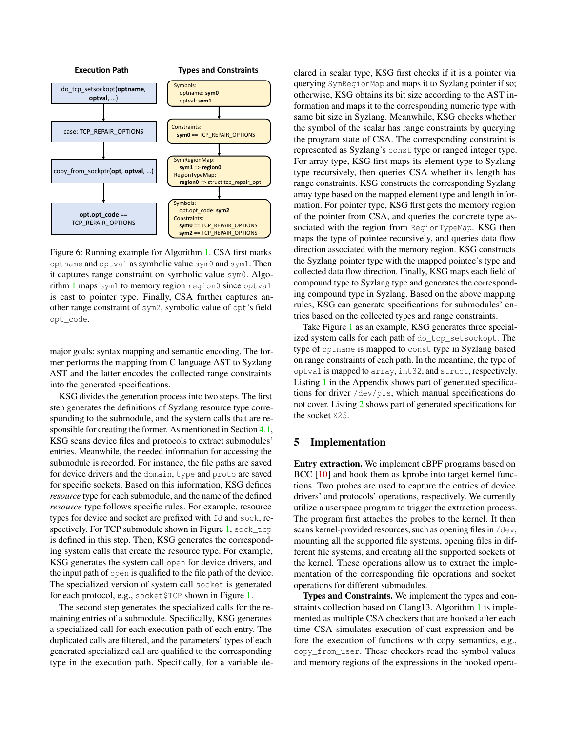<span id="page-7-0"></span>

Figure 6: Running example for Algorithm [1.](#page-6-1) CSA first marks optname and optval as symbolic value sym0 and sym1. Then it captures range constraint on symbolic value sym0. Algo-rithm [1](#page-6-1) maps sym1 to memory region region0 since optval is cast to pointer type. Finally, CSA further captures another range constraint of sym2, symbolic value of opt's field opt\_code.

major goals: syntax mapping and semantic encoding. The former performs the mapping from C language AST to Syzlang AST and the latter encodes the collected range constraints into the generated specifications.

KSG divides the generation process into two steps. The first step generates the definitions of Syzlang resource type corresponding to the submodule, and the system calls that are responsible for creating the former. As mentioned in Section [4.1,](#page-4-2) KSG scans device files and protocols to extract submodules' entries. Meanwhile, the needed information for accessing the submodule is recorded. For instance, the file paths are saved for device drivers and the domain, type and proto are saved for specific sockets. Based on this information, KSG defines *resource* type for each submodule, and the name of the defined *resource* type follows specific rules. For example, resource types for device and socket are prefixed with fd and sock, re-spectively. For TCP submodule shown in Figure [1,](#page-2-0) sock\_tcp is defined in this step. Then, KSG generates the corresponding system calls that create the resource type. For example, KSG generates the system call open for device drivers, and the input path of open is qualified to the file path of the device. The specialized version of system call socket is generated for each protocol, e.g., socket\$TCP shown in Figure [1.](#page-2-0)

The second step generates the specialized calls for the remaining entries of a submodule. Specifically, KSG generates a specialized call for each execution path of each entry. The duplicated calls are filtered, and the parameters' types of each generated specialized call are qualified to the corresponding type in the execution path. Specifically, for a variable declared in scalar type, KSG first checks if it is a pointer via querying SymRegionMap and maps it to Syzlang pointer if so; otherwise, KSG obtains its bit size according to the AST information and maps it to the corresponding numeric type with same bit size in Syzlang. Meanwhile, KSG checks whether the symbol of the scalar has range constraints by querying the program state of CSA. The corresponding constraint is represented as Syzlang's const type or ranged integer type. For array type, KSG first maps its element type to Syzlang type recursively, then queries CSA whether its length has range constraints. KSG constructs the corresponding Syzlang array type based on the mapped element type and length information. For pointer type, KSG first gets the memory region of the pointer from CSA, and queries the concrete type associated with the region from RegionTypeMap. KSG then maps the type of pointee recursively, and queries data flow direction associated with the memory region. KSG constructs the Syzlang pointer type with the mapped pointee's type and collected data flow direction. Finally, KSG maps each field of compound type to Syzlang type and generates the corresponding compound type in Syzlang. Based on the above mapping rules, KSG can generate specifications for submodules' entries based on the collected types and range constraints.

Take Figure [1](#page-2-0) as an example, KSG generates three specialized system calls for each path of do\_tcp\_setsockopt. The type of optname is mapped to const type in Syzlang based on range constraints of each path. In the meantime, the type of optval is mapped to array, int32, and struct, respectively. Listing [1](#page-14-0) in the Appendix shows part of generated specifications for driver /dev/pts, which manual specifications do not cover. Listing [2](#page-14-1) shows part of generated specifications for the socket X25.

#### 5 Implementation

Entry extraction. We implement eBPF programs based on BCC [\[10\]](#page-12-21) and hook them as kprobe into target kernel functions. Two probes are used to capture the entries of device drivers' and protocols' operations, respectively. We currently utilize a userspace program to trigger the extraction process. The program first attaches the probes to the kernel. It then scans kernel-provided resources, such as opening files in /dev, mounting all the supported file systems, opening files in different file systems, and creating all the supported sockets of the kernel. These operations allow us to extract the implementation of the corresponding file operations and socket operations for different submodules.

Types and Constraints. We implement the types and constraints collection based on Clang13. Algorithm [1](#page-6-1) is implemented as multiple CSA checkers that are hooked after each time CSA simulates execution of cast expression and before the execution of functions with copy semantics, e.g., copy\_from\_user. These checkers read the symbol values and memory regions of the expressions in the hooked opera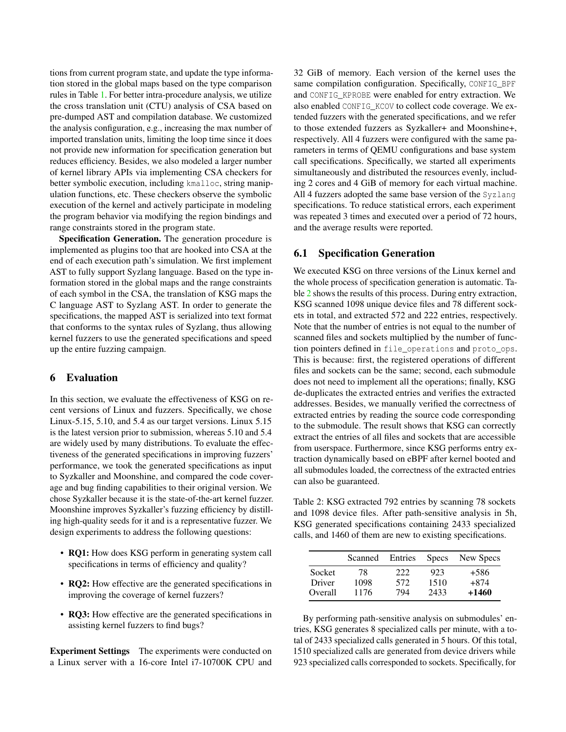tions from current program state, and update the type information stored in the global maps based on the type comparison rules in Table [1.](#page-6-0) For better intra-procedure analysis, we utilize the cross translation unit (CTU) analysis of CSA based on pre-dumped AST and compilation database. We customized the analysis configuration, e.g., increasing the max number of imported translation units, limiting the loop time since it does not provide new information for specification generation but reduces efficiency. Besides, we also modeled a larger number of kernel library APIs via implementing CSA checkers for better symbolic execution, including kmalloc, string manipulation functions, etc. These checkers observe the symbolic execution of the kernel and actively participate in modeling the program behavior via modifying the region bindings and range constraints stored in the program state.

Specification Generation. The generation procedure is implemented as plugins too that are hooked into CSA at the end of each execution path's simulation. We first implement AST to fully support Syzlang language. Based on the type information stored in the global maps and the range constraints of each symbol in the CSA, the translation of KSG maps the C language AST to Syzlang AST. In order to generate the specifications, the mapped AST is serialized into text format that conforms to the syntax rules of Syzlang, thus allowing kernel fuzzers to use the generated specifications and speed up the entire fuzzing campaign.

#### 6 Evaluation

In this section, we evaluate the effectiveness of KSG on recent versions of Linux and fuzzers. Specifically, we chose Linux-5.15, 5.10, and 5.4 as our target versions. Linux 5.15 is the latest version prior to submission, whereas 5.10 and 5.4 are widely used by many distributions. To evaluate the effectiveness of the generated specifications in improving fuzzers' performance, we took the generated specifications as input to Syzkaller and Moonshine, and compared the code coverage and bug finding capabilities to their original version. We chose Syzkaller because it is the state-of-the-art kernel fuzzer. Moonshine improves Syzkaller's fuzzing efficiency by distilling high-quality seeds for it and is a representative fuzzer. We design experiments to address the following questions:

- RQ1: How does KSG perform in generating system call specifications in terms of efficiency and quality?
- RQ2: How effective are the generated specifications in improving the coverage of kernel fuzzers?
- RQ3: How effective are the generated specifications in assisting kernel fuzzers to find bugs?

Experiment Settings The experiments were conducted on a Linux server with a 16-core Intel i7-10700K CPU and

32 GiB of memory. Each version of the kernel uses the same compilation configuration. Specifically, CONFIG\_BPF and CONFIG KPROBE were enabled for entry extraction. We also enabled CONFIG\_KCOV to collect code coverage. We extended fuzzers with the generated specifications, and we refer to those extended fuzzers as Syzkaller+ and Moonshine+, respectively. All 4 fuzzers were configured with the same parameters in terms of QEMU configurations and base system call specifications. Specifically, we started all experiments simultaneously and distributed the resources evenly, including 2 cores and 4 GiB of memory for each virtual machine. All 4 fuzzers adopted the same base version of the Syzlang specifications. To reduce statistical errors, each experiment was repeated 3 times and executed over a period of 72 hours, and the average results were reported.

## 6.1 Specification Generation

We executed KSG on three versions of the Linux kernel and the whole process of specification generation is automatic. Table [2](#page-8-0) shows the results of this process. During entry extraction, KSG scanned 1098 unique device files and 78 different sockets in total, and extracted 572 and 222 entries, respectively. Note that the number of entries is not equal to the number of scanned files and sockets multiplied by the number of function pointers defined in file\_operations and proto\_ops. This is because: first, the registered operations of different files and sockets can be the same; second, each submodule does not need to implement all the operations; finally, KSG de-duplicates the extracted entries and verifies the extracted addresses. Besides, we manually verified the correctness of extracted entries by reading the source code corresponding to the submodule. The result shows that KSG can correctly extract the entries of all files and sockets that are accessible from userspace. Furthermore, since KSG performs entry extraction dynamically based on eBPF after kernel booted and all submodules loaded, the correctness of the extracted entries can also be guaranteed.

<span id="page-8-0"></span>Table 2: KSG extracted 792 entries by scanning 78 sockets and 1098 device files. After path-sensitive analysis in 5h, KSG generated specifications containing 2433 specialized calls, and 1460 of them are new to existing specifications.

|         | Scanned | Entries | <b>Specs</b> | New Specs |
|---------|---------|---------|--------------|-----------|
| Socket  | 78      | 222     | 923          | $+586$    |
| Driver  | 1098    | 572     | 1510         | $+874$    |
| Overall | 1176    | 794     | 2433         | $+1460$   |

By performing path-sensitive analysis on submodules' entries, KSG generates 8 specialized calls per minute, with a total of 2433 specialized calls generated in 5 hours. Of this total, 1510 specialized calls are generated from device drivers while 923 specialized calls corresponded to sockets. Specifically, for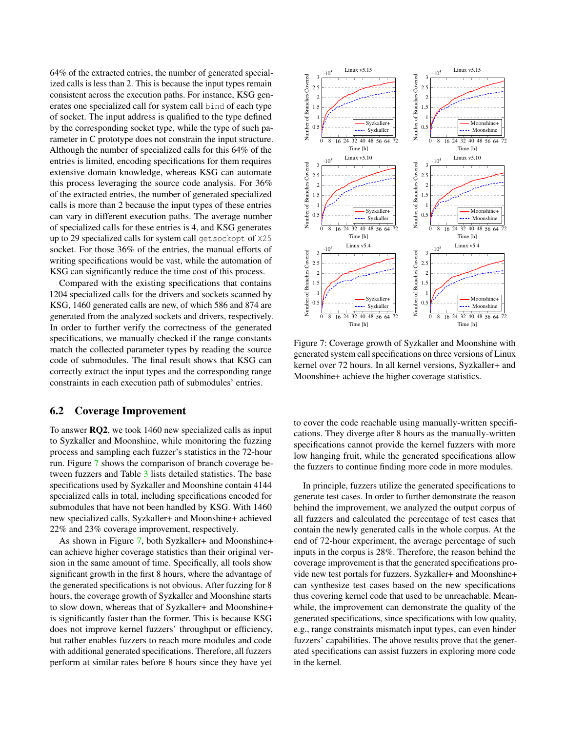64% of the extracted entries, the number of generated specialized calls is less than 2. This is because the input types remain consistent across the execution paths. For instance, KSG generates one specialized call for system call bind of each type of socket. The input address is qualified to the type defined by the corresponding socket type, while the type of such parameter in C prototype does not constrain the input structure. Although the number of specialized calls for this 64% of the entries is limited, encoding specifications for them requires extensive domain knowledge, whereas KSG can automate this process leveraging the source code analysis. For 36% of the extracted entries, the number of generated specialized calls is more than 2 because the input types of these entries can vary in different execution paths. The average number of specialized calls for these entries is 4, and KSG generates up to 29 specialized calls for system call getsockopt of X25 socket. For those 36% of the entries, the manual efforts of writing specifications would be vast, while the automation of KSG can significantly reduce the time cost of this process.

Compared with the existing specifications that contains 1204 specialized calls for the drivers and sockets scanned by KSG, 1460 generated calls are new, of which 586 and 874 are generated from the analyzed sockets and drivers, respectively. In order to further verify the correctness of the generated specifications, we manually checked if the range constants match the collected parameter types by reading the source code of submodules. The final result shows that KSG can correctly extract the input types and the corresponding range constraints in each execution path of submodules' entries.

### 6.2 Coverage Improvement

To answer RQ2, we took 1460 new specialized calls as input to Syzkaller and Moonshine, while monitoring the fuzzing process and sampling each fuzzer's statistics in the 72-hour run. Figure [7](#page-9-0) shows the comparison of branch coverage between fuzzers and Table [3](#page-10-0) lists detailed statistics. The base specifications used by Syzkaller and Moonshine contain 4144 specialized calls in total, including specifications encoded for submodules that have not been handled by KSG. With 1460 new specialized calls, Syzkaller+ and Moonshine+ achieved 22% and 23% coverage improvement, respectively.

As shown in Figure [7,](#page-9-0) both Syzkaller+ and Moonshine+ can achieve higher coverage statistics than their original version in the same amount of time. Specifically, all tools show significant growth in the first 8 hours, where the advantage of the generated specifications is not obvious. After fuzzing for 8 hours, the coverage growth of Syzkaller and Moonshine starts to slow down, whereas that of Syzkaller+ and Moonshine+ is significantly faster than the former. This is because KSG does not improve kernel fuzzers' throughput or efficiency, but rather enables fuzzers to reach more modules and code with additional generated specifications. Therefore, all fuzzers perform at similar rates before 8 hours since they have yet

<span id="page-9-0"></span>

Figure 7: Coverage growth of Syzkaller and Moonshine with generated system call specifications on three versions of Linux kernel over 72 hours. In all kernel versions, Syzkaller+ and Moonshine+ achieve the higher coverage statistics.

to cover the code reachable using manually-written specifications. They diverge after 8 hours as the manually-written specifications cannot provide the kernel fuzzers with more low hanging fruit, while the generated specifications allow the fuzzers to continue finding more code in more modules.

In principle, fuzzers utilize the generated specifications to generate test cases. In order to further demonstrate the reason behind the improvement, we analyzed the output corpus of all fuzzers and calculated the percentage of test cases that contain the newly generated calls in the whole corpus. At the end of 72-hour experiment, the average percentage of such inputs in the corpus is 28%. Therefore, the reason behind the coverage improvement is that the generated specifications provide new test portals for fuzzers. Syzkaller+ and Moonshine+ can synthesize test cases based on the new specifications thus covering kernel code that used to be unreachable. Meanwhile, the improvement can demonstrate the quality of the generated specifications, since specifications with low quality, e.g., range constraints mismatch input types, can even hinder fuzzers' capabilities. The above results prove that the generated specifications can assist fuzzers in exploring more code in the kernel.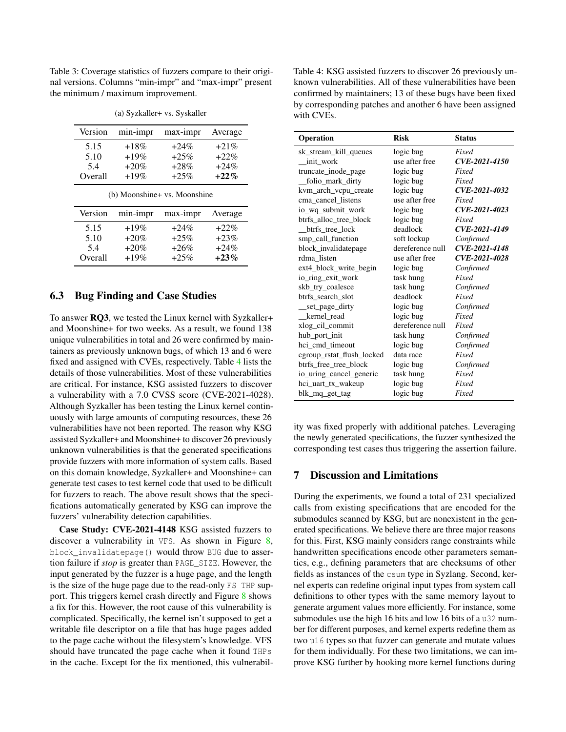<span id="page-10-0"></span>Table 3: Coverage statistics of fuzzers compare to their original versions. Columns "min-impr" and "max-impr" present the minimum / maximum improvement.

| Version | min-impr | max-impr | Average |
|---------|----------|----------|---------|
| 5.15    | $+18%$   | $+24\%$  | $+21\%$ |
| 5.10    | $+19%$   | $+25%$   | $+22%$  |
| 5.4     | $+20%$   | $+28%$   | $+24%$  |
| Overall | $+19%$   | $+25%$   | $+22\%$ |

(a) Syzkaller+ vs. Syskaller

(b) Moonshine+ vs. Moonshine

| Version | min-impr | max-impr | Average |
|---------|----------|----------|---------|
| 5.15    | $+19%$   | $+24\%$  | $+22\%$ |
| 5.10    | $+20%$   | $+25%$   | $+23%$  |
| 5.4     | $+20%$   | $+26%$   | $+24%$  |
| Overall | $+19%$   | $+25%$   | $+23%$  |

#### 6.3 Bug Finding and Case Studies

To answer RQ3, we tested the Linux kernel with Syzkaller+ and Moonshine+ for two weeks. As a result, we found 138 unique vulnerabilities in total and 26 were confirmed by maintainers as previously unknown bugs, of which 13 and 6 were fixed and assigned with CVEs, respectively. Table [4](#page-10-1) lists the details of those vulnerabilities. Most of these vulnerabilities are critical. For instance, KSG assisted fuzzers to discover a vulnerability with a 7.0 CVSS score (CVE-2021-4028). Although Syzkaller has been testing the Linux kernel continuously with large amounts of computing resources, these 26 vulnerabilities have not been reported. The reason why KSG assisted Syzkaller+ and Moonshine+ to discover 26 previously unknown vulnerabilities is that the generated specifications provide fuzzers with more information of system calls. Based on this domain knowledge, Syzkaller+ and Moonshine+ can generate test cases to test kernel code that used to be difficult for fuzzers to reach. The above result shows that the specifications automatically generated by KSG can improve the fuzzers' vulnerability detection capabilities.

Case Study: CVE-2021-4148 KSG assisted fuzzers to discover a vulnerability in VFS. As shown in Figure [8,](#page-11-4) block\_invalidatepage() would throw BUG due to assertion failure if *stop* is greater than PAGE\_SIZE. However, the input generated by the fuzzer is a huge page, and the length is the size of the huge page due to the read-only FS THP support. This triggers kernel crash directly and Figure [8](#page-11-4) shows a fix for this. However, the root cause of this vulnerability is complicated. Specifically, the kernel isn't supposed to get a writable file descriptor on a file that has huge pages added to the page cache without the filesystem's knowledge. VFS should have truncated the page cache when it found THPs in the cache. Except for the fix mentioned, this vulnerabil<span id="page-10-1"></span>Table 4: KSG assisted fuzzers to discover 26 previously unknown vulnerabilities. All of these vulnerabilities have been confirmed by maintainers; 13 of these bugs have been fixed by corresponding patches and another 6 have been assigned with CVEs.

| Operation                 | <b>Risk</b>      | <b>Status</b> |
|---------------------------|------------------|---------------|
| sk_stream_kill_queues     | logic bug        | Fixed         |
| init work                 | use after free   | CVE-2021-4150 |
| truncate_inode_page       | logic bug        | Fixed         |
| folio_mark_dirty          | logic bug        | Fixed         |
| kvm_arch_vcpu_create      | logic bug        | CVE-2021-4032 |
| cma_cancel_listens        | use after free   | Fixed         |
| io_wq_submit_work         | logic bug        | CVE-2021-4023 |
| btrfs alloc tree block    | logic bug        | Fixed         |
| btrfs_tree_lock           | deadlock         | CVE-2021-4149 |
| smp_call_function         | soft lockup      | Confirmed     |
| block_invalidatepage      | dereference null | CVE-2021-4148 |
| rdma listen               | use after free   | CVE-2021-4028 |
| ext4_block_write_begin    | logic bug        | Confirmed     |
| io_ring_exit_work         | task hung        | Fixed         |
| skb_try_coalesce          | task hung        | Confirmed     |
| btrfs search slot         | deadlock         | Fixed         |
| __set_page_dirty          | logic bug        | Confirmed     |
| kernel read               | logic bug        | Fixed         |
| xlog_cil_commit           | dereference null | Fixed         |
| hub_port_init             | task hung        | Confirmed     |
| hci_cmd_timeout           | logic bug        | Confirmed     |
| cgroup_rstat_flush_locked | data race        | Fixed         |
| btrfs_free_tree_block     | logic bug        | Confirmed     |
| io uring cancel generic   | task hung        | Fixed         |
| hci_uart_tx_wakeup        | logic bug        | Fixed         |
| blk_mq_get_tag            | logic bug        | Fixed         |

ity was fixed properly with additional patches. Leveraging the newly generated specifications, the fuzzer synthesized the corresponding test cases thus triggering the assertion failure.

#### 7 Discussion and Limitations

During the experiments, we found a total of 231 specialized calls from existing specifications that are encoded for the submodules scanned by KSG, but are nonexistent in the generated specifications. We believe there are three major reasons for this. First, KSG mainly considers range constraints while handwritten specifications encode other parameters semantics, e.g., defining parameters that are checksums of other fields as instances of the csum type in Syzlang. Second, kernel experts can redefine original input types from system call definitions to other types with the same memory layout to generate argument values more efficiently. For instance, some submodules use the high 16 bits and low 16 bits of a u32 number for different purposes, and kernel experts redefine them as two u16 types so that fuzzer can generate and mutate values for them individually. For these two limitations, we can improve KSG further by hooking more kernel functions during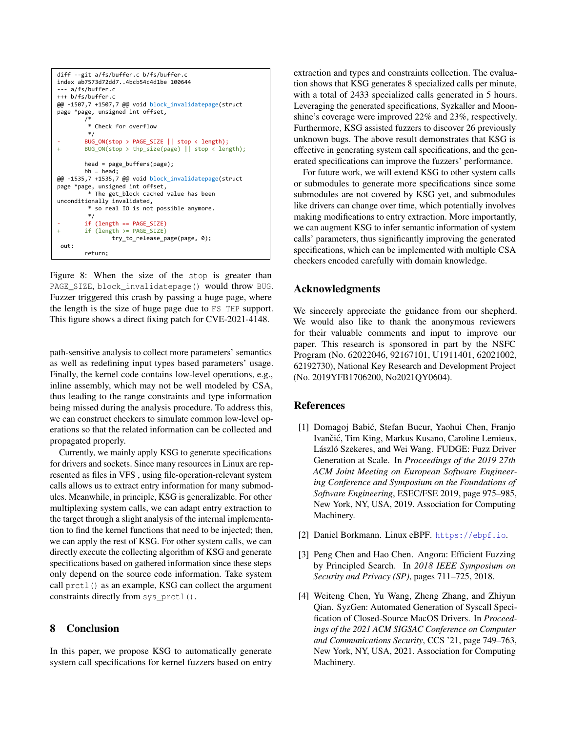<span id="page-11-4"></span>

Figure 8: When the size of the stop is greater than PAGE\_SIZE, block\_invalidatepage() would throw BUG. Fuzzer triggered this crash by passing a huge page, where the length is the size of huge page due to FS THP support. This figure shows a direct fixing patch for CVE-2021-4148.

path-sensitive analysis to collect more parameters' semantics as well as redefining input types based parameters' usage. Finally, the kernel code contains low-level operations, e.g., inline assembly, which may not be well modeled by CSA, thus leading to the range constraints and type information being missed during the analysis procedure. To address this, we can construct checkers to simulate common low-level operations so that the related information can be collected and propagated properly.

Currently, we mainly apply KSG to generate specifications for drivers and sockets. Since many resources in Linux are represented as files in VFS , using file-operation-relevant system calls allows us to extract entry information for many submodules. Meanwhile, in principle, KSG is generalizable. For other multiplexing system calls, we can adapt entry extraction to the target through a slight analysis of the internal implementation to find the kernel functions that need to be injected; then, we can apply the rest of KSG. For other system calls, we can directly execute the collecting algorithm of KSG and generate specifications based on gathered information since these steps only depend on the source code information. Take system call prctl() as an example, KSG can collect the argument constraints directly from sys\_prctl().

#### 8 Conclusion

In this paper, we propose KSG to automatically generate system call specifications for kernel fuzzers based on entry extraction and types and constraints collection. The evaluation shows that KSG generates 8 specialized calls per minute, with a total of 2433 specialized calls generated in 5 hours. Leveraging the generated specifications, Syzkaller and Moonshine's coverage were improved 22% and 23%, respectively. Furthermore, KSG assisted fuzzers to discover 26 previously unknown bugs. The above result demonstrates that KSG is effective in generating system call specifications, and the generated specifications can improve the fuzzers' performance.

For future work, we will extend KSG to other system calls or submodules to generate more specifications since some submodules are not covered by KSG yet, and submodules like drivers can change over time, which potentially involves making modifications to entry extraction. More importantly, we can augment KSG to infer semantic information of system calls' parameters, thus significantly improving the generated specifications, which can be implemented with multiple CSA checkers encoded carefully with domain knowledge.

## Acknowledgments

We sincerely appreciate the guidance from our shepherd. We would also like to thank the anonymous reviewers for their valuable comments and input to improve our paper. This research is sponsored in part by the NSFC Program (No. 62022046, 92167101, U1911401, 62021002, 62192730), National Key Research and Development Project (No. 2019YFB1706200, No2021QY0604).

#### References

- <span id="page-11-3"></span>[1] Domagoj Babic, Stefan Bucur, Yaohui Chen, Franjo ´ Ivančić, Tim King, Markus Kusano, Caroline Lemieux, László Szekeres, and Wei Wang. FUDGE: Fuzz Driver Generation at Scale. In *Proceedings of the 2019 27th ACM Joint Meeting on European Software Engineering Conference and Symposium on the Foundations of Software Engineering*, ESEC/FSE 2019, page 975–985, New York, NY, USA, 2019. Association for Computing Machinery.
- <span id="page-11-1"></span>[2] Daniel Borkmann. Linux eBPF. <https://ebpf.io>.
- <span id="page-11-2"></span>[3] Peng Chen and Hao Chen. Angora: Efficient Fuzzing by Principled Search. In *2018 IEEE Symposium on Security and Privacy (SP)*, pages 711–725, 2018.
- <span id="page-11-0"></span>[4] Weiteng Chen, Yu Wang, Zheng Zhang, and Zhiyun Qian. SyzGen: Automated Generation of Syscall Specification of Closed-Source MacOS Drivers. In *Proceedings of the 2021 ACM SIGSAC Conference on Computer and Communications Security*, CCS '21, page 749–763, New York, NY, USA, 2021. Association for Computing Machinery.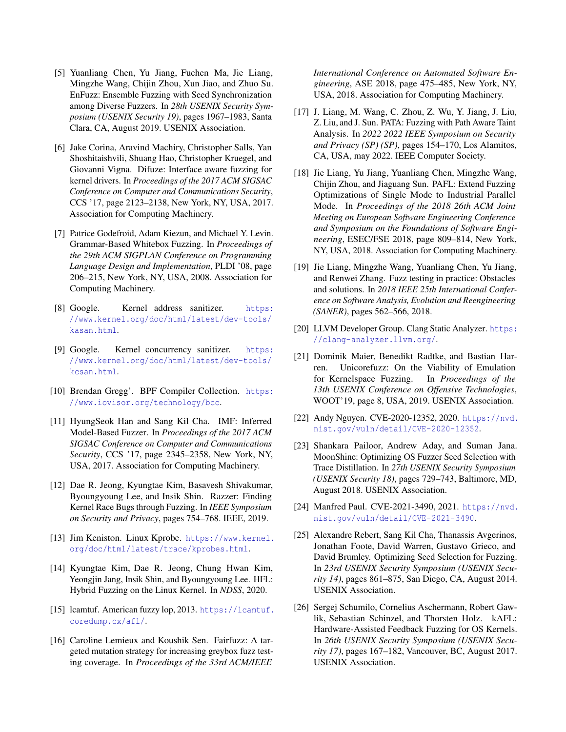- <span id="page-12-8"></span>[5] Yuanliang Chen, Yu Jiang, Fuchen Ma, Jie Liang, Mingzhe Wang, Chijin Zhou, Xun Jiao, and Zhuo Su. EnFuzz: Ensemble Fuzzing with Seed Synchronization among Diverse Fuzzers. In *28th USENIX Security Symposium (USENIX Security 19)*, pages 1967–1983, Santa Clara, CA, August 2019. USENIX Association.
- <span id="page-12-3"></span>[6] Jake Corina, Aravind Machiry, Christopher Salls, Yan Shoshitaishvili, Shuang Hao, Christopher Kruegel, and Giovanni Vigna. Difuze: Interface aware fuzzing for kernel drivers. In *Proceedings of the 2017 ACM SIGSAC Conference on Computer and Communications Security*, CCS '17, page 2123–2138, New York, NY, USA, 2017. Association for Computing Machinery.
- <span id="page-12-10"></span>[7] Patrice Godefroid, Adam Kiezun, and Michael Y. Levin. Grammar-Based Whitebox Fuzzing. In *Proceedings of the 29th ACM SIGPLAN Conference on Programming Language Design and Implementation*, PLDI '08, page 206–215, New York, NY, USA, 2008. Association for Computing Machinery.
- <span id="page-12-15"></span>[8] Google. Kernel address sanitizer. [https:](https://www.kernel.org/doc/html/latest/dev-tools/kasan.html) [//www.kernel.org/doc/html/latest/dev-tools/](https://www.kernel.org/doc/html/latest/dev-tools/kasan.html) [kasan.html](https://www.kernel.org/doc/html/latest/dev-tools/kasan.html).
- <span id="page-12-16"></span>[9] Google. Kernel concurrency sanitizer. [https:](https://www.kernel.org/doc/html/latest/dev-tools/kcsan.html) [//www.kernel.org/doc/html/latest/dev-tools/](https://www.kernel.org/doc/html/latest/dev-tools/kcsan.html) [kcsan.html](https://www.kernel.org/doc/html/latest/dev-tools/kcsan.html).
- <span id="page-12-21"></span>[10] Brendan Gregg'. BPF Compiler Collection. [https:](https://www.iovisor.org/technology/bcc) [//www.iovisor.org/technology/bcc](https://www.iovisor.org/technology/bcc).
- <span id="page-12-4"></span>[11] HyungSeok Han and Sang Kil Cha. IMF: Inferred Model-Based Fuzzer. In *Proceedings of the 2017 ACM SIGSAC Conference on Computer and Communications Security*, CCS '17, page 2345–2358, New York, NY, USA, 2017. Association for Computing Machinery.
- <span id="page-12-17"></span>[12] Dae R. Jeong, Kyungtae Kim, Basavesh Shivakumar, Byoungyoung Lee, and Insik Shin. Razzer: Finding Kernel Race Bugs through Fuzzing. In *IEEE Symposium on Security and Privacy*, pages 754–768. IEEE, 2019.
- <span id="page-12-5"></span>[13] Jim Keniston. Linux Kprobe. [https://www.kernel.](https://www.kernel.org/doc/html/latest/trace/kprobes.html) [org/doc/html/latest/trace/kprobes.html](https://www.kernel.org/doc/html/latest/trace/kprobes.html).
- <span id="page-12-18"></span>[14] Kyungtae Kim, Dae R. Jeong, Chung Hwan Kim, Yeongjin Jang, Insik Shin, and Byoungyoung Lee. HFL: Hybrid Fuzzing on the Linux Kernel. In *NDSS*, 2020.
- <span id="page-12-12"></span>[15] lcamtuf. American fuzzy lop, 2013. [https://lcamtuf.](https://lcamtuf.coredump.cx/afl/) [coredump.cx/afl/](https://lcamtuf.coredump.cx/afl/).
- <span id="page-12-11"></span>[16] Caroline Lemieux and Koushik Sen. Fairfuzz: A targeted mutation strategy for increasing greybox fuzz testing coverage. In *Proceedings of the 33rd ACM/IEEE*

*International Conference on Automated Software Engineering*, ASE 2018, page 475–485, New York, NY, USA, 2018. Association for Computing Machinery.

- <span id="page-12-13"></span>[17] J. Liang, M. Wang, C. Zhou, Z. Wu, Y. Jiang, J. Liu, Z. Liu, and J. Sun. PATA: Fuzzing with Path Aware Taint Analysis. In *2022 2022 IEEE Symposium on Security and Privacy (SP) (SP)*, pages 154–170, Los Alamitos, CA, USA, may 2022. IEEE Computer Society.
- <span id="page-12-14"></span>[18] Jie Liang, Yu Jiang, Yuanliang Chen, Mingzhe Wang, Chijin Zhou, and Jiaguang Sun. PAFL: Extend Fuzzing Optimizations of Single Mode to Industrial Parallel Mode. In *Proceedings of the 2018 26th ACM Joint Meeting on European Software Engineering Conference and Symposium on the Foundations of Software Engineering*, ESEC/FSE 2018, page 809–814, New York, NY, USA, 2018. Association for Computing Machinery.
- <span id="page-12-2"></span>[19] Jie Liang, Mingzhe Wang, Yuanliang Chen, Yu Jiang, and Renwei Zhang. Fuzz testing in practice: Obstacles and solutions. In *2018 IEEE 25th International Conference on Software Analysis, Evolution and Reengineering (SANER)*, pages 562–566, 2018.
- <span id="page-12-6"></span>[20] LLVM Developer Group. Clang Static Analyzer. [https:](https://clang-analyzer.llvm.org/) [//clang-analyzer.llvm.org/](https://clang-analyzer.llvm.org/).
- <span id="page-12-19"></span>[21] Dominik Maier, Benedikt Radtke, and Bastian Harren. Unicorefuzz: On the Viability of Emulation for Kernelspace Fuzzing. In *Proceedings of the 13th USENIX Conference on Offensive Technologies*, WOOT'19, page 8, USA, 2019. USENIX Association.
- <span id="page-12-1"></span>[22] Andy Nguyen. CVE-2020-12352, 2020. [https://nvd.](https://nvd.nist.gov/vuln/detail/CVE-2020-12352) [nist.gov/vuln/detail/CVE-2020-12352](https://nvd.nist.gov/vuln/detail/CVE-2020-12352).
- <span id="page-12-7"></span>[23] Shankara Pailoor, Andrew Aday, and Suman Jana. MoonShine: Optimizing OS Fuzzer Seed Selection with Trace Distillation. In *27th USENIX Security Symposium (USENIX Security 18)*, pages 729–743, Baltimore, MD, August 2018. USENIX Association.
- <span id="page-12-0"></span>[24] Manfred Paul. CVE-2021-3490, 2021. [https://nvd.](https://nvd.nist.gov/vuln/detail/CVE-2021-3490) [nist.gov/vuln/detail/CVE-2021-3490](https://nvd.nist.gov/vuln/detail/CVE-2021-3490).
- <span id="page-12-9"></span>[25] Alexandre Rebert, Sang Kil Cha, Thanassis Avgerinos, Jonathan Foote, David Warren, Gustavo Grieco, and David Brumley. Optimizing Seed Selection for Fuzzing. In *23rd USENIX Security Symposium (USENIX Security 14)*, pages 861–875, San Diego, CA, August 2014. USENIX Association.
- <span id="page-12-20"></span>[26] Sergej Schumilo, Cornelius Aschermann, Robert Gawlik, Sebastian Schinzel, and Thorsten Holz. kAFL: Hardware-Assisted Feedback Fuzzing for OS Kernels. In *26th USENIX Security Symposium (USENIX Security 17)*, pages 167–182, Vancouver, BC, August 2017. USENIX Association.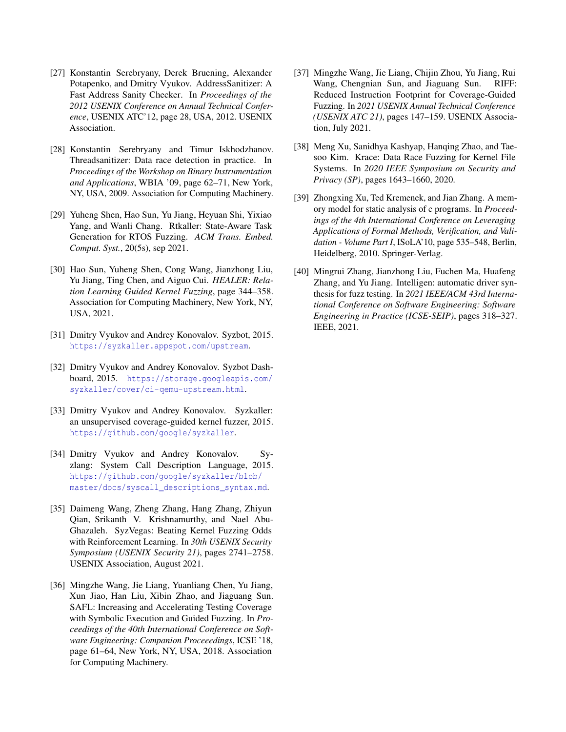- <span id="page-13-4"></span>[27] Konstantin Serebryany, Derek Bruening, Alexander Potapenko, and Dmitry Vyukov. AddressSanitizer: A Fast Address Sanity Checker. In *Proceedings of the 2012 USENIX Conference on Annual Technical Conference*, USENIX ATC'12, page 28, USA, 2012. USENIX Association.
- <span id="page-13-5"></span>[28] Konstantin Serebryany and Timur Iskhodzhanov. Threadsanitizer: Data race detection in practice. In *Proceedings of the Workshop on Binary Instrumentation and Applications*, WBIA '09, page 62–71, New York, NY, USA, 2009. Association for Computing Machinery.
- <span id="page-13-9"></span>[29] Yuheng Shen, Hao Sun, Yu Jiang, Heyuan Shi, Yixiao Yang, and Wanli Chang. Rtkaller: State-Aware Task Generation for RTOS Fuzzing. *ACM Trans. Embed. Comput. Syst.*, 20(5s), sep 2021.
- <span id="page-13-12"></span>[30] Hao Sun, Yuheng Shen, Cong Wang, Jianzhong Liu, Yu Jiang, Ting Chen, and Aiguo Cui. *HEALER: Relation Learning Guided Kernel Fuzzing*, page 344–358. Association for Computing Machinery, New York, NY, USA, 2021.
- <span id="page-13-1"></span>[31] Dmitry Vyukov and Andrey Konovalov. Syzbot, 2015. <https://syzkaller.appspot.com/upstream>.
- <span id="page-13-3"></span>[32] Dmitry Vyukov and Andrey Konovalov. Syzbot Dashboard, 2015. [https://storage.googleapis.com/](https://storage.googleapis.com/syzkaller/cover/ci-qemu-upstream.html) [syzkaller/cover/ci-qemu-upstream.html](https://storage.googleapis.com/syzkaller/cover/ci-qemu-upstream.html).
- <span id="page-13-0"></span>[33] Dmitry Vyukov and Andrey Konovalov. Syzkaller: an unsupervised coverage-guided kernel fuzzer, 2015. <https://github.com/google/syzkaller>.
- <span id="page-13-2"></span>[34] Dmitry Vyukov and Andrey Konovalov. Syzlang: System Call Description Language, 2015. [https://github.com/google/syzkaller/blob/](https://github.com/google/syzkaller/blob/master/docs/syscall_descriptions_syntax.md) [master/docs/syscall\\_descriptions\\_syntax.md](https://github.com/google/syzkaller/blob/master/docs/syscall_descriptions_syntax.md).
- <span id="page-13-10"></span>[35] Daimeng Wang, Zheng Zhang, Hang Zhang, Zhiyun Qian, Srikanth V. Krishnamurthy, and Nael Abu-Ghazaleh. SyzVegas: Beating Kernel Fuzzing Odds with Reinforcement Learning. In *30th USENIX Security Symposium (USENIX Security 21)*, pages 2741–2758. USENIX Association, August 2021.
- <span id="page-13-6"></span>[36] Mingzhe Wang, Jie Liang, Yuanliang Chen, Yu Jiang, Xun Jiao, Han Liu, Xibin Zhao, and Jiaguang Sun. SAFL: Increasing and Accelerating Testing Coverage with Symbolic Execution and Guided Fuzzing. In *Proceedings of the 40th International Conference on Software Engineering: Companion Proceeedings*, ICSE '18, page 61–64, New York, NY, USA, 2018. Association for Computing Machinery.
- <span id="page-13-8"></span>[37] Mingzhe Wang, Jie Liang, Chijin Zhou, Yu Jiang, Rui Wang, Chengnian Sun, and Jiaguang Sun. RIFF: Reduced Instruction Footprint for Coverage-Guided Fuzzing. In *2021 USENIX Annual Technical Conference (USENIX ATC 21)*, pages 147–159. USENIX Association, July 2021.
- <span id="page-13-11"></span>[38] Meng Xu, Sanidhya Kashyap, Hanqing Zhao, and Taesoo Kim. Krace: Data Race Fuzzing for Kernel File Systems. In *2020 IEEE Symposium on Security and Privacy (SP)*, pages 1643–1660, 2020.
- <span id="page-13-13"></span>[39] Zhongxing Xu, Ted Kremenek, and Jian Zhang. A memory model for static analysis of c programs. In *Proceedings of the 4th International Conference on Leveraging Applications of Formal Methods, Verification, and Validation - Volume Part I*, ISoLA'10, page 535–548, Berlin, Heidelberg, 2010. Springer-Verlag.
- <span id="page-13-7"></span>[40] Mingrui Zhang, Jianzhong Liu, Fuchen Ma, Huafeng Zhang, and Yu Jiang. Intelligen: automatic driver synthesis for fuzz testing. In *2021 IEEE/ACM 43rd International Conference on Software Engineering: Software Engineering in Practice (ICSE-SEIP)*, pages 318–327. IEEE, 2021.